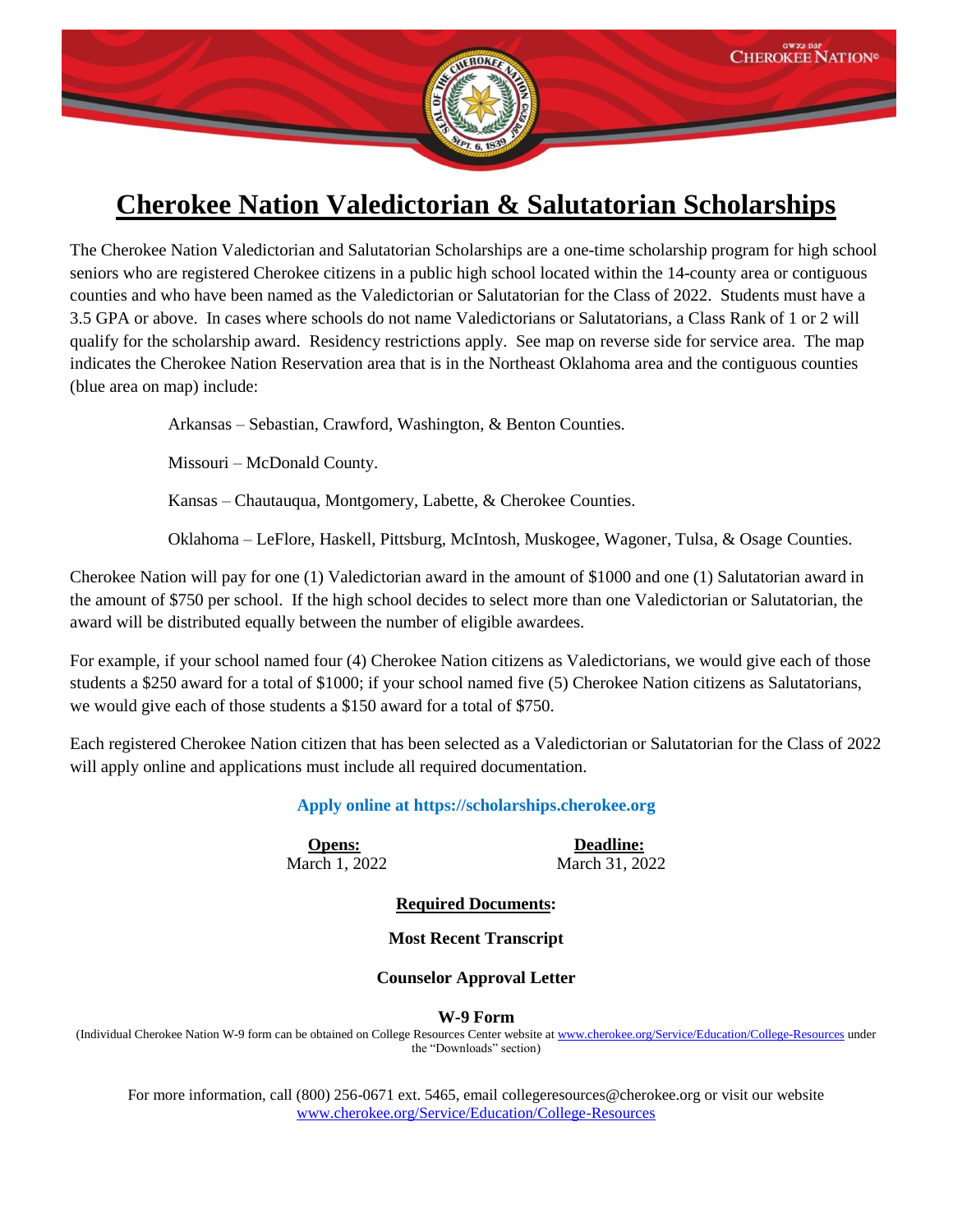

## **Cherokee Nation Valedictorian & Salutatorian Scholarships**

The Cherokee Nation Valedictorian and Salutatorian Scholarships are a one-time scholarship program for high school seniors who are registered Cherokee citizens in a public high school located within the 14-county area or contiguous counties and who have been named as the Valedictorian or Salutatorian for the Class of 2022. Students must have a 3.5 GPA or above. In cases where schools do not name Valedictorians or Salutatorians, a Class Rank of 1 or 2 will qualify for the scholarship award. Residency restrictions apply. See map on reverse side for service area. The map indicates the Cherokee Nation Reservation area that is in the Northeast Oklahoma area and the contiguous counties (blue area on map) include:

Arkansas – Sebastian, Crawford, Washington, & Benton Counties.

Missouri – McDonald County.

Kansas – Chautauqua, Montgomery, Labette, & Cherokee Counties.

Oklahoma – LeFlore, Haskell, Pittsburg, McIntosh, Muskogee, Wagoner, Tulsa, & Osage Counties.

Cherokee Nation will pay for one (1) Valedictorian award in the amount of \$1000 and one (1) Salutatorian award in the amount of \$750 per school. If the high school decides to select more than one Valedictorian or Salutatorian, the award will be distributed equally between the number of eligible awardees.

For example, if your school named four (4) Cherokee Nation citizens as Valedictorians, we would give each of those students a \$250 award for a total of \$1000; if your school named five (5) Cherokee Nation citizens as Salutatorians, we would give each of those students a \$150 award for a total of \$750.

Each registered Cherokee Nation citizen that has been selected as a Valedictorian or Salutatorian for the Class of 2022 will apply online and applications must include all required documentation.

**Apply online at [https://scholarships.cherokee.org](https://scholarships.cherokee.org/)**

**Opens:** Deadline: March 1, 2022March 31, 2022

**Required Documents:**

## **Most Recent Transcript**

## **Counselor Approval Letter**

**W-9 Form**

(Individual Cherokee Nation W-9 form can be obtained on College Resources Center website a[t www.cherokee.org/Service/Education/College-Resources](http://www.cherokee.org/Service/Education/College-Resources) under the "Downloads" section)

For more information, call (800) 256-0671 ext. 5465, email [collegeresources@cherokee.org](mailto:collegeresources@cherokee.org) or visit our website [www.cherokee.org/Service/Education/College-Resources](http://www.cherokee.org/Service/Education/College-Resources)